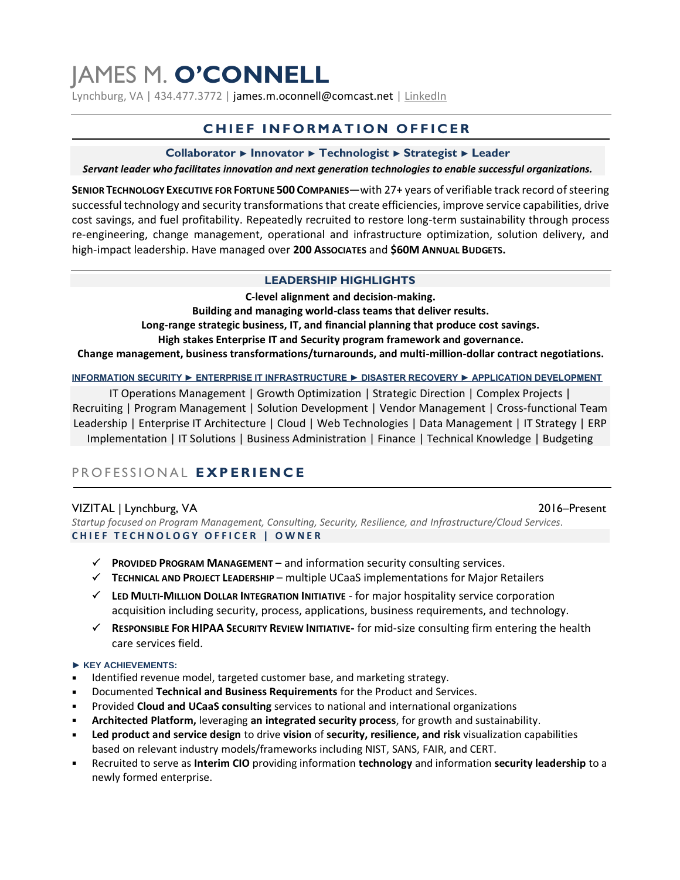# JAMES M. **O'CONNELL**

Lynchburg, VA | 434.477.3772 | james.m.oconnell@comcast.net | [LinkedIn](https://www.linkedin.com/in/jamesmichaeloconnell)

# **CHIEF INFORMATION OFFICER**

#### **Collaborator ► Innovator ► Technologist ► Strategist ► Leader**

*Servant leader who facilitates innovation and next generation technologies to enable successful organizations.*

**SENIOR TECHNOLOGY EXECUTIVE FOR FORTUNE 500 COMPANIES**—with 27+ years of verifiable track record of steering successful technology and security transformations that create efficiencies, improve service capabilities, drive cost savings, and fuel profitability. Repeatedly recruited to restore long-term sustainability through process re-engineering, change management, operational and infrastructure optimization, solution delivery, and high-impact leadership. Have managed over **200 ASSOCIATES** and **\$60M ANNUAL BUDGETS.**

#### **LEADERSHIP HIGHLIGHTS**

**C-level alignment and decision-making. Building and managing world-class teams that deliver results. Long-range strategic business, IT, and financial planning that produce cost savings. High stakes Enterprise IT and Security program framework and governance. Change management, business transformations/turnarounds, and multi-million-dollar contract negotiations.**

**INFORMATION SECURITY ► ENTERPRISE IT INFRASTRUCTURE ► DISASTER RECOVERY ► APPLICATION DEVELOPMENT**

IT Operations Management | Growth Optimization | Strategic Direction | Complex Projects | Recruiting | Program Management | Solution Development | Vendor Management | Cross-functional Team Leadership | Enterprise IT Architecture | Cloud | Web Technologies | Data Management | IT Strategy | ERP Implementation | IT Solutions | Business Administration | Finance | Technical Knowledge | Budgeting

# P R O F E S S I O N A L **E X P E R I E N C E**

## VIZITAL | Lynchburg, VA 2016–Present

*Startup focused on Program Management, Consulting, Security, Resilience, and Infrastructure/Cloud Services.* CHIEF TECHNOLOGY OFFICER | OWNER

- **PROVIDED PROGRAM MANAGEMENT**  and information security consulting services.
- **TECHNICAL AND PROJECT LEADERSHIP**  multiple UCaaS implementations for Major Retailers
- **LED MULTI-MILLION DOLLAR INTEGRATION INITIATIVE** for major hospitality service corporation acquisition including security, process, applications, business requirements, and technology.
- **RESPONSIBLE FOR HIPAA SECURITY REVIEW INITIATIVE-** for mid-size consulting firm entering the health care services field.

#### **► KEY ACHIEVEMENTS:**

- Identified revenue model, targeted customer base, and marketing strategy.
- Documented **Technical and Business Requirements** for the Product and Services.
- Provided **Cloud and UCaaS consulting** services to national and international organizations
- **Architected Platform,** leveraging **an integrated security process**, for growth and sustainability.
- **Led product and service design** to drive **vision** of **security, resilience, and risk** visualization capabilities based on relevant industry models/frameworks including NIST, SANS, FAIR, and CERT.
- Recruited to serve as **Interim CIO** providing information **technology** and information **security leadership** to a newly formed enterprise.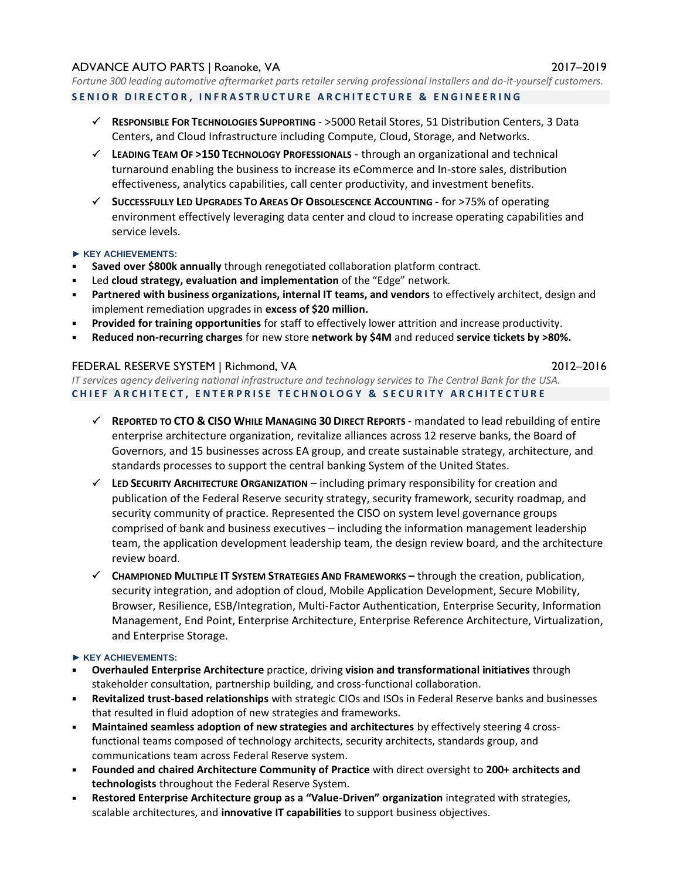## ADVANCE AUTO PARTS | Roanoke, VA 2017–2019

*Fortune 300 leading automotive aftermarket parts retailer serving professional installers and do-it-yourself customers.* SENIOR DIRECTOR, INFRASTRUCTURE ARCHITECTURE & ENGINEERING

- **RESPONSIBLE FOR TECHNOLOGIES SUPPORTING** >5000 Retail Stores, 51 Distribution Centers, 3 Data Centers, and Cloud Infrastructure including Compute, Cloud, Storage, and Networks.
- **LEADING TEAM OF >150 TECHNOLOGY PROFESSIONALS** through an organizational and technical turnaround enabling the business to increase its eCommerce and In-store sales, distribution effectiveness, analytics capabilities, call center productivity, and investment benefits.
- **SUCCESSFULLY LED UPGRADES TO AREAS OF OBSOLESCENCE ACCOUNTING -** for >75% of operating environment effectively leveraging data center and cloud to increase operating capabilities and service levels.
- **► KEY ACHIEVEMENTS:**
- **Saved over \$800k annually** through renegotiated collaboration platform contract.
- Led **cloud strategy, evaluation and implementation** of the "Edge" network.
- Partnered with business organizations, internal IT teams, and vendors to effectively architect, design and implement remediation upgrades in **excess of \$20 million.**
- **Provided for training opportunities** for staff to effectively lower attrition and increase productivity.
- **Reduced non-recurring charges** for new store **network by \$4M** and reduced **service tickets by >80%.**

## FEDERAL RESERVE SYSTEM | Richmond, VA 2012–2016

*IT services agency delivering national infrastructure and technology services to The Central Bank for the USA.* **C H I E F A R C H I T E C T , E N T E R P R I S E T E C H N O L O G Y & S E C U R I T Y A R C H I T E C T U R E**

- **REPORTED TO CTO & CISO WHILE MANAGING 30 DIRECT REPORTS**  mandated to lead rebuilding of entire enterprise architecture organization, revitalize alliances across 12 reserve banks, the Board of Governors, and 15 businesses across EA group, and create sustainable strategy, architecture, and standards processes to support the central banking System of the United States.
- **LED SECURITY ARCHITECTURE ORGANIZATION** including primary responsibility for creation and publication of the Federal Reserve security strategy, security framework, security roadmap, and security community of practice. Represented the CISO on system level governance groups comprised of bank and business executives – including the information management leadership team, the application development leadership team, the design review board, and the architecture review board.
- **CHAMPIONED MULTIPLE IT SYSTEM STRATEGIES AND FRAMEWORKS –** through the creation, publication, security integration, and adoption of cloud, Mobile Application Development, Secure Mobility, Browser, Resilience, ESB/Integration, Multi-Factor Authentication, Enterprise Security, Information Management, End Point, Enterprise Architecture, Enterprise Reference Architecture, Virtualization, and Enterprise Storage.

## **► KEY ACHIEVEMENTS:**

- **Overhauled Enterprise Architecture** practice, driving **vision and transformational initiatives** through stakeholder consultation, partnership building, and cross-functional collaboration.
- **Revitalized trust-based relationships** with strategic CIOs and ISOs in Federal Reserve banks and businesses that resulted in fluid adoption of new strategies and frameworks.
- Maintained seamless adoption of new strategies and architectures by effectively steering 4 crossfunctional teams composed of technology architects, security architects, standards group, and communications team across Federal Reserve system.
- **Founded and chaired Architecture Community of Practice** with direct oversight to **200+ architects and technologists** throughout the Federal Reserve System.
- **Restored Enterprise Architecture group as a "Value-Driven" organization** integrated with strategies, scalable architectures, and **innovative IT capabilities** to support business objectives.